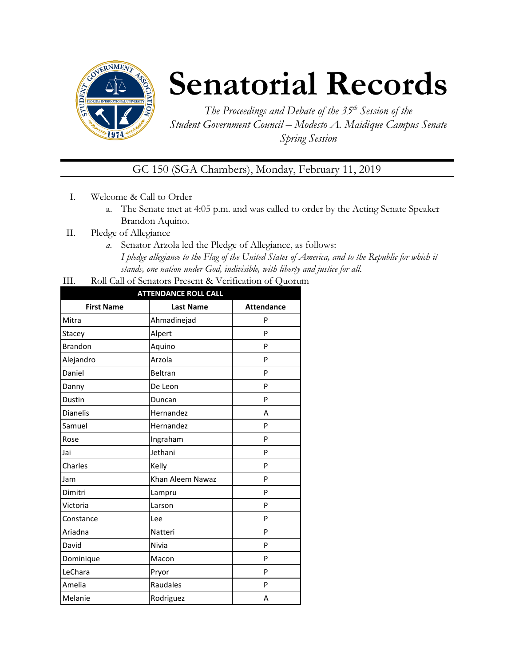

# **Senatorial Records**

*The Proceedings and Debate of the 35 th Session of the Student Government Council – Modesto A. Maidique Campus Senate Spring Session*

GC 150 (SGA Chambers), Monday, February 11, 2019

- I. Welcome & Call to Order
	- a. The Senate met at 4:05 p.m. and was called to order by the Acting Senate Speaker Brandon Aquino.
- II. Pledge of Allegiance
	- *a.* Senator Arzola led the Pledge of Allegiance, as follows: *I pledge allegiance to the Flag of the United States of America, and to the Republic for which it stands, one nation under God, indivisible, with liberty and justice for all.*
- III. Roll Call of Senators Present & Verification of Quorum

| <b>ATTENDANCE ROLL CALL</b> |                  |                   |  |  |
|-----------------------------|------------------|-------------------|--|--|
| <b>First Name</b>           | <b>Last Name</b> | <b>Attendance</b> |  |  |
| Mitra                       | Ahmadinejad      | P                 |  |  |
| Stacey                      | Alpert           | P                 |  |  |
| <b>Brandon</b>              | Aquino           | P                 |  |  |
| Alejandro                   | Arzola           | P                 |  |  |
| Daniel                      | Beltran          | P                 |  |  |
| Danny                       | De Leon          | P                 |  |  |
| Dustin                      | Duncan           | P                 |  |  |
| <b>Dianelis</b>             | Hernandez        | A                 |  |  |
| Samuel                      | Hernandez        | P                 |  |  |
| Rose                        | Ingraham         | P                 |  |  |
| Jai                         | Jethani          | P                 |  |  |
| Charles                     | Kelly            | P                 |  |  |
| Jam                         | Khan Aleem Nawaz | P                 |  |  |
| Dimitri                     | Lampru           | P                 |  |  |
| Victoria                    | Larson           | P                 |  |  |
| Constance                   | Lee              | P                 |  |  |
| Ariadna                     | Natteri          | P                 |  |  |
| David                       | Nivia            | P                 |  |  |
| Dominique                   | Macon            | P                 |  |  |
| LeChara                     | Pryor            | P                 |  |  |
| Amelia                      | Raudales         | P                 |  |  |
| Melanie                     | Rodriguez        | Α                 |  |  |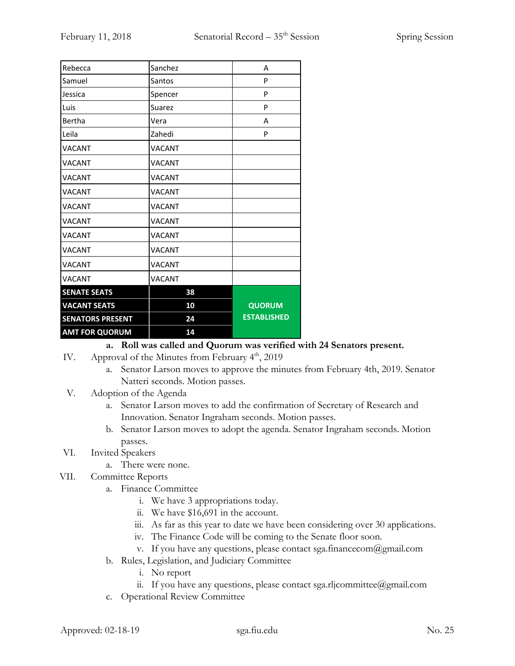| Rebecca                 | Sanchez       | A                  |
|-------------------------|---------------|--------------------|
| Samuel                  | Santos        | P                  |
| Jessica                 | Spencer       | P                  |
| Luis                    | Suarez        | P                  |
| Bertha                  | Vera          | A                  |
| Leila                   | Zahedi        | P                  |
| <b>VACANT</b>           | <b>VACANT</b> |                    |
| <b>VACANT</b>           | <b>VACANT</b> |                    |
| <b>VACANT</b>           | <b>VACANT</b> |                    |
| <b>VACANT</b>           | <b>VACANT</b> |                    |
| VACANT                  | <b>VACANT</b> |                    |
| <b>VACANT</b>           | <b>VACANT</b> |                    |
| <b>VACANT</b>           | <b>VACANT</b> |                    |
| <b>VACANT</b>           | <b>VACANT</b> |                    |
| <b>VACANT</b>           | <b>VACANT</b> |                    |
| <b>VACANT</b>           | <b>VACANT</b> |                    |
| <b>SENATE SEATS</b>     | 38            |                    |
| <b>VACANT SEATS</b>     | 10            | <b>QUORUM</b>      |
| <b>SENATORS PRESENT</b> | 24            | <b>ESTABLISHED</b> |
| <b>AMT FOR QUORUM</b>   | 14            |                    |

## **a. Roll was called and Quorum was verified with 24 Senators present.**

- IV. Approval of the Minutes from February  $4<sup>th</sup>$ , 2019
	- a. Senator Larson moves to approve the minutes from February 4th, 2019. Senator Natteri seconds. Motion passes.
- V. Adoption of the Agenda
	- a. Senator Larson moves to add the confirmation of Secretary of Research and Innovation. Senator Ingraham seconds. Motion passes.
	- b. Senator Larson moves to adopt the agenda. Senator Ingraham seconds. Motion passes.
- VI. Invited Speakers
	- a. There were none.
- VII. Committee Reports
	- a. Finance Committee
		- i. We have 3 appropriations today.
		- ii. We have \$16,691 in the account.
		- iii. As far as this year to date we have been considering over 30 applications.
		- iv. The Finance Code will be coming to the Senate floor soon.
		- v. If you have any questions, please contact sga.financecom@gmail.com
	- b. Rules, Legislation, and Judiciary Committee
		- i. No report
		- ii. If you have any questions, please contact sga.rljcommittee@gmail.com
	- c. Operational Review Committee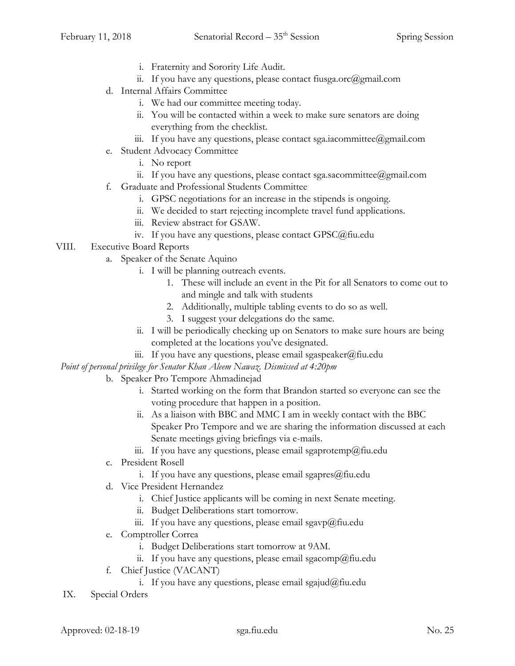- i. Fraternity and Sorority Life Audit.
- ii. If you have any questions, please contact fiusga.orc@gmail.com
- d. Internal Affairs Committee
	- i. We had our committee meeting today.
	- ii. You will be contacted within a week to make sure senators are doing everything from the checklist.
	- iii. If you have any questions, please contact sga.iacommittee@gmail.com
- e. Student Advocacy Committee
	- i. No report
	- ii. If you have any questions, please contact sga.sacommittee@gmail.com
- f. Graduate and Professional Students Committee
	- i. GPSC negotiations for an increase in the stipends is ongoing.
	- ii. We decided to start rejecting incomplete travel fund applications.
	- iii. Review abstract for GSAW.
	- iv. If you have any questions, please contact GPSC@fiu.edu
- VIII. Executive Board Reports
	- a. Speaker of the Senate Aquino
		- i. I will be planning outreach events.
			- 1. These will include an event in the Pit for all Senators to come out to and mingle and talk with students
			- 2. Additionally, multiple tabling events to do so as well.
			- 3. I suggest your delegations do the same.
		- ii. I will be periodically checking up on Senators to make sure hours are being completed at the locations you've designated.
		- iii. If you have any questions, please email sgaspeaker@fiu.edu

*Point of personal privilege for Senator Khan Aleem Nawaz. Dismissed at 4:20pm*

- b. Speaker Pro Tempore Ahmadinejad
	- i. Started working on the form that Brandon started so everyone can see the voting procedure that happen in a position.
	- ii. As a liaison with BBC and MMC I am in weekly contact with the BBC Speaker Pro Tempore and we are sharing the information discussed at each Senate meetings giving briefings via e-mails.
	- iii. If you have any questions, please email sgaprotemp@fiu.edu
- c. President Rosell
	- i. If you have any questions, please email sgapres $@$ fiu.edu
- d. Vice President Hernandez
	- i. Chief Justice applicants will be coming in next Senate meeting.
	- ii. Budget Deliberations start tomorrow.
	- iii. If you have any questions, please email sgavp@fiu.edu
- e. Comptroller Correa
	- i. Budget Deliberations start tomorrow at 9AM.
	- ii. If you have any questions, please email sgacomp@fiu.edu
- f. Chief Justice (VACANT)
	- i. If you have any questions, please email sgajud@fiu.edu
- IX. Special Orders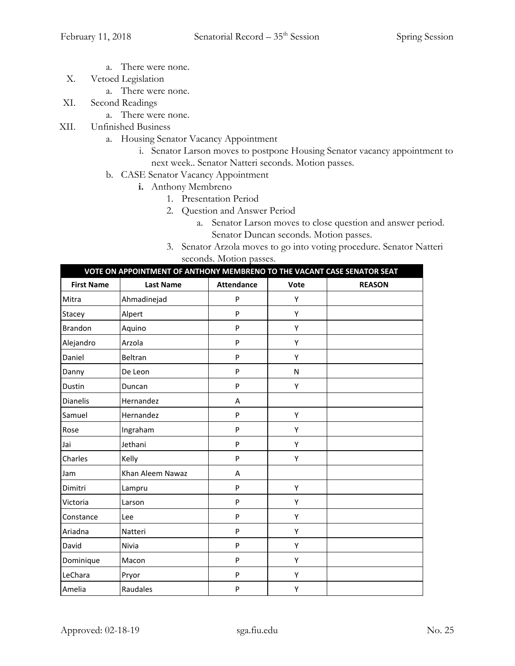- a. There were none.
- X. Vetoed Legislation
	- a. There were none.
- XI. Second Readings
	- a. There were none.
- XII. Unfinished Business
	- a. Housing Senator Vacancy Appointment
		- i. Senator Larson moves to postpone Housing Senator vacancy appointment to next week.. Senator Natteri seconds. Motion passes.
	- b. CASE Senator Vacancy Appointment
		- **i.** Anthony Membreno
			- 1. Presentation Period
			- 2. Question and Answer Period
				- a. Senator Larson moves to close question and answer period. Senator Duncan seconds. Motion passes.
			- 3. Senator Arzola moves to go into voting procedure. Senator Natteri seconds. Motion passes.

|                   | VOTE ON APPOINTMENT OF ANTHONY MEMBRENO TO THE VACANT CASE SENATOR SEAT |                   |      |               |
|-------------------|-------------------------------------------------------------------------|-------------------|------|---------------|
| <b>First Name</b> | <b>Last Name</b>                                                        | <b>Attendance</b> | Vote | <b>REASON</b> |
| Mitra             | Ahmadinejad                                                             | P                 | Y    |               |
| Stacey            | Alpert                                                                  | P                 | Υ    |               |
| Brandon           | Aquino                                                                  | P                 | Υ    |               |
| Alejandro         | Arzola                                                                  | P                 | Υ    |               |
| Daniel            | Beltran                                                                 | P                 | Υ    |               |
| Danny             | De Leon                                                                 | P                 | N    |               |
| Dustin            | Duncan                                                                  | P                 | Υ    |               |
| <b>Dianelis</b>   | Hernandez                                                               | A                 |      |               |
| Samuel            | Hernandez                                                               | P                 | Υ    |               |
| Rose              | Ingraham                                                                | P                 | Y    |               |
| Jai               | Jethani                                                                 | P                 | Υ    |               |
| Charles           | Kelly                                                                   | P                 | Υ    |               |
| Jam               | Khan Aleem Nawaz                                                        | A                 |      |               |
| Dimitri           | Lampru                                                                  | P                 | Υ    |               |
| Victoria          | Larson                                                                  | P                 | Υ    |               |
| Constance         | Lee                                                                     | P                 | Υ    |               |
| Ariadna           | Natteri                                                                 | P                 | Υ    |               |
| David             | Nivia                                                                   | P                 | Υ    |               |
| Dominique         | Macon                                                                   | P                 | Υ    |               |
| LeChara           | Pryor                                                                   | P                 | Υ    |               |
| Amelia            | Raudales                                                                | P                 | Υ    |               |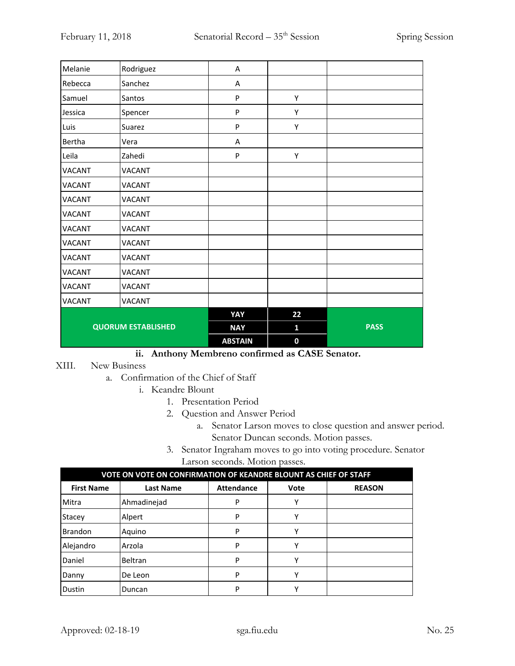| Melanie                   | Rodriguez     | Α              |                  |             |
|---------------------------|---------------|----------------|------------------|-------------|
| Rebecca                   | Sanchez       | Α              |                  |             |
| Samuel                    | Santos        | P              | Υ                |             |
| Jessica                   | Spencer       | P              | Υ                |             |
| Luis                      | Suarez        | P              | Υ                |             |
| Bertha                    | Vera          | Α              |                  |             |
| Leila                     | Zahedi        | P              | Υ                |             |
| <b>VACANT</b>             | <b>VACANT</b> |                |                  |             |
| <b>VACANT</b>             | <b>VACANT</b> |                |                  |             |
| <b>VACANT</b>             | <b>VACANT</b> |                |                  |             |
| <b>VACANT</b>             | <b>VACANT</b> |                |                  |             |
| <b>VACANT</b>             | <b>VACANT</b> |                |                  |             |
| <b>VACANT</b>             | <b>VACANT</b> |                |                  |             |
| <b>VACANT</b>             | <b>VACANT</b> |                |                  |             |
| <b>VACANT</b>             | <b>VACANT</b> |                |                  |             |
| <b>VACANT</b>             | <b>VACANT</b> |                |                  |             |
| <b>VACANT</b>             | <b>VACANT</b> |                |                  |             |
|                           |               | YAY            | 22               |             |
| <b>QUORUM ESTABLISHED</b> |               | <b>NAY</b>     | 1                | <b>PASS</b> |
|                           |               | <b>ABSTAIN</b> | $\boldsymbol{0}$ |             |

## **ii. Anthony Membreno confirmed as CASE Senator.**

#### XIII. New Business

- a. Confirmation of the Chief of Staff
	- i. Keandre Blount
		- 1. Presentation Period
		- 2. Question and Answer Period
			- a. Senator Larson moves to close question and answer period. Senator Duncan seconds. Motion passes.
		- 3. Senator Ingraham moves to go into voting procedure. Senator Larson seconds. Motion passes.

| VOTE ON VOTE ON CONFIRMATION OF KEANDRE BLOUNT AS CHIEF OF STAFF |                  |                   |      |               |
|------------------------------------------------------------------|------------------|-------------------|------|---------------|
| <b>First Name</b>                                                | <b>Last Name</b> | <b>Attendance</b> | Vote | <b>REASON</b> |
| Mitra                                                            | Ahmadinejad      | P                 | Υ    |               |
| Stacey                                                           | Alpert           | P                 | Υ    |               |
| <b>Brandon</b>                                                   | Aquino           | P                 | Υ    |               |
| Alejandro                                                        | Arzola           | P                 | Υ    |               |
| Daniel                                                           | Beltran          | P                 | Υ    |               |
| Danny                                                            | De Leon          | P                 | ٧    |               |
| Dustin                                                           | Duncan           | P                 | v    |               |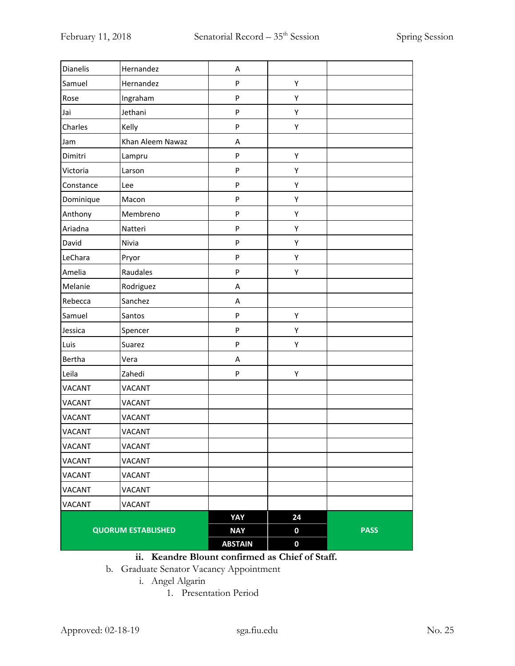| Dianelis                  | Hernandez        | Α              |                  |             |
|---------------------------|------------------|----------------|------------------|-------------|
| Samuel                    | Hernandez        | P              | Υ                |             |
| Rose                      | Ingraham         | P              | Υ                |             |
| Jai                       | Jethani          | P              | Υ                |             |
| Charles                   | Kelly            | P              | Υ                |             |
| Jam                       | Khan Aleem Nawaz | A              |                  |             |
| Dimitri                   | Lampru           | P              | Υ                |             |
| Victoria                  | Larson           | P              | Υ                |             |
| Constance                 | Lee              | P              | Υ                |             |
| Dominique                 | Macon            | P              | Υ                |             |
| Anthony                   | Membreno         | P              | Υ                |             |
| Ariadna                   | Natteri          | P              | Υ                |             |
| David                     | Nivia            | P              | Υ                |             |
| LeChara                   | Pryor            | P              | Υ                |             |
| Amelia                    | Raudales         | P              | Υ                |             |
| Melanie                   | Rodriguez        | Α              |                  |             |
| Rebecca                   | Sanchez          | A              |                  |             |
| Samuel                    | Santos           | P              | Υ                |             |
| Jessica                   | Spencer          | P              | Υ                |             |
| Luis                      | Suarez           | P              | Υ                |             |
| Bertha                    | Vera             | Α              |                  |             |
| Leila                     | Zahedi           | P              | Υ                |             |
| <b>VACANT</b>             | VACANT           |                |                  |             |
| VACANT                    | <b>VACANT</b>    |                |                  |             |
| VACANT                    | VACANT           |                |                  |             |
| VACANT                    | <b>VACANT</b>    |                |                  |             |
| VACANT                    | <b>VACANT</b>    |                |                  |             |
| VACANT                    | VACANT           |                |                  |             |
| VACANT                    | VACANT           |                |                  |             |
| VACANT                    | VACANT           |                |                  |             |
| <b>VACANT</b>             | VACANT           |                |                  |             |
|                           |                  | YAY            | 24               |             |
| <b>QUORUM ESTABLISHED</b> |                  | <b>NAY</b>     | $\boldsymbol{0}$ | <b>PASS</b> |
|                           |                  | <b>ABSTAIN</b> | $\boldsymbol{0}$ |             |

# **ii. Keandre Blount confirmed as Chief of Staff.**

b. Graduate Senator Vacancy Appointment

i. Angel Algarin

1. Presentation Period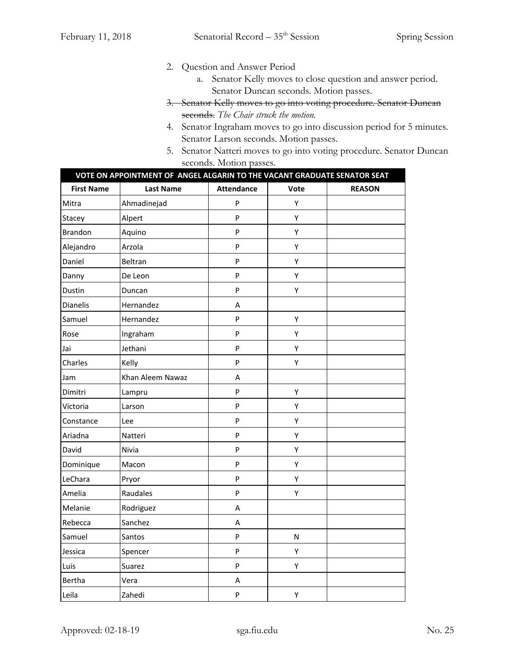- 2. Question and Answer Period
	- a. Senator Kelly moves to close question and answer period. Senator Duncan seconds. Motion passes.
- 3. Senator Kelly moves to go into voting procedure. Senator Duncan seconds. *The Chair struck the motion.*
- 4. Senator Ingraham moves to go into discussion period for 5 minutes. Senator Larson seconds. Motion passes.
- 5. Senator Natteri moves to go into voting procedure. Senator Duncan seconds. Motion passes.

|                   | VOTE ON APPOINTMENT OF ANGEL ALGARIN TO THE VACANT GRADUATE SENATOR SEAT |                   |      |               |  |
|-------------------|--------------------------------------------------------------------------|-------------------|------|---------------|--|
| <b>First Name</b> | <b>Last Name</b>                                                         | <b>Attendance</b> | Vote | <b>REASON</b> |  |
| Mitra             | Ahmadinejad                                                              | P                 | Υ    |               |  |
| Stacey            | Alpert                                                                   | P                 | Υ    |               |  |
| <b>Brandon</b>    | Aquino                                                                   | P                 | Υ    |               |  |
| Alejandro         | Arzola                                                                   | P                 | Υ    |               |  |
| Daniel            | Beltran                                                                  | P                 | Υ    |               |  |
| Danny             | De Leon                                                                  | P                 | Υ    |               |  |
| Dustin            | Duncan                                                                   | P                 | Υ    |               |  |
| <b>Dianelis</b>   | Hernandez                                                                | Α                 |      |               |  |
| Samuel            | Hernandez                                                                | P                 | Υ    |               |  |
| Rose              | Ingraham                                                                 | P                 | Υ    |               |  |
| Jai               | Jethani                                                                  | P                 | Υ    |               |  |
| Charles           | Kelly                                                                    | P                 | Υ    |               |  |
| Jam               | Khan Aleem Nawaz                                                         | $\sf A$           |      |               |  |
| Dimitri           | Lampru                                                                   | P                 | Υ    |               |  |
| Victoria          | Larson                                                                   | P                 | Υ    |               |  |
| Constance         | Lee                                                                      | P                 | Υ    |               |  |
| Ariadna           | Natteri                                                                  | P                 | Υ    |               |  |
| David             | Nivia                                                                    | P                 | Υ    |               |  |
| Dominique         | Macon                                                                    | P                 | Υ    |               |  |
| LeChara           | Pryor                                                                    | P                 | Υ    |               |  |
| Amelia            | Raudales                                                                 | P                 | Υ    |               |  |
| Melanie           | Rodriguez                                                                | Α                 |      |               |  |
| Rebecca           | Sanchez                                                                  | А                 |      |               |  |
| Samuel            | Santos                                                                   | P                 | N    |               |  |
| Jessica           | Spencer                                                                  | P                 | Υ    |               |  |
| Luis              | Suarez                                                                   | P                 | Υ    |               |  |
| Bertha            | Vera                                                                     | Α                 |      |               |  |
| Leila             | Zahedi                                                                   | P                 | Υ    |               |  |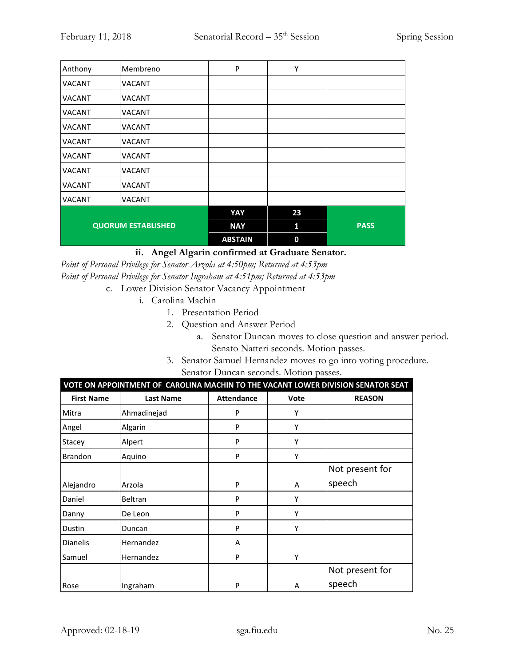| Anthony                   | Membreno      | P              | Y  |             |
|---------------------------|---------------|----------------|----|-------------|
| <b>VACANT</b>             | VACANT        |                |    |             |
| <b>VACANT</b>             | VACANT        |                |    |             |
| <b>VACANT</b>             | VACANT        |                |    |             |
| <b>VACANT</b>             | VACANT        |                |    |             |
| <b>VACANT</b>             | VACANT        |                |    |             |
| <b>VACANT</b>             | VACANT        |                |    |             |
| <b>VACANT</b>             | <b>VACANT</b> |                |    |             |
| <b>VACANT</b>             | VACANT        |                |    |             |
| <b>VACANT</b>             | VACANT        |                |    |             |
|                           |               | YAY            | 23 |             |
| <b>QUORUM ESTABLISHED</b> |               | <b>NAY</b>     | 1  | <b>PASS</b> |
|                           |               | <b>ABSTAIN</b> | 0  |             |

## **ii. Angel Algarin confirmed at Graduate Senator.**

*Point of Personal Privilege for Senator Arzola at 4:50pm; Returned at 4:53pm Point of Personal Privilege for Senator Ingraham at 4:51pm; Returned at 4:53pm* c. Lower Division Senator Vacancy Appointment

- i. Carolina Machin
	- 1. Presentation Period
	- 2. Question and Answer Period
		- a. Senator Duncan moves to close question and answer period. Senato Natteri seconds. Motion passes.
	- 3. Senator Samuel Hernandez moves to go into voting procedure. Senator Duncan seconds. Motion passes.

| VOTE ON APPOINTMENT OF CAROLINA MACHIN TO THE VACANT LOWER DIVISION SENATOR SEAT |                  |                   |      |                 |  |
|----------------------------------------------------------------------------------|------------------|-------------------|------|-----------------|--|
| <b>First Name</b>                                                                | <b>Last Name</b> | <b>Attendance</b> | Vote | <b>REASON</b>   |  |
| Mitra                                                                            | Ahmadinejad      | P                 | Υ    |                 |  |
| Angel                                                                            | Algarin          | P                 | Υ    |                 |  |
| Stacey                                                                           | Alpert           | P                 | Υ    |                 |  |
| <b>Brandon</b>                                                                   | Aquino           | P                 | Υ    |                 |  |
|                                                                                  |                  |                   |      | Not present for |  |
| Alejandro                                                                        | Arzola           | P                 | A    | speech          |  |
| Daniel                                                                           | Beltran          | P                 | Υ    |                 |  |
| Danny                                                                            | De Leon          | P                 | γ    |                 |  |
| Dustin                                                                           | Duncan           | P                 | Υ    |                 |  |
| <b>Dianelis</b>                                                                  | Hernandez        | A                 |      |                 |  |
| Samuel                                                                           | Hernandez        | P                 | Υ    |                 |  |
|                                                                                  |                  |                   |      | Not present for |  |
| Rose                                                                             | Ingraham         | P                 | A    | speech          |  |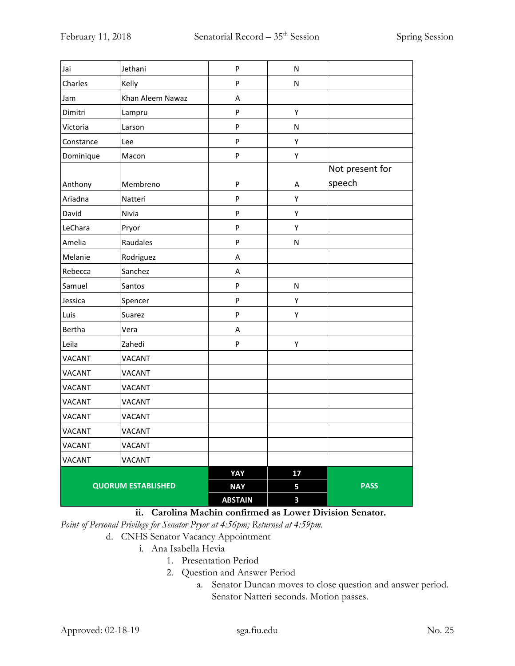| Jai           | Jethani                   | P              | ${\sf N}$ |                 |
|---------------|---------------------------|----------------|-----------|-----------------|
| Charles       | Kelly                     | P              | ${\sf N}$ |                 |
| Jam           | Khan Aleem Nawaz          | Α              |           |                 |
| Dimitri       | Lampru                    | P              | Υ         |                 |
| Victoria      | Larson                    | P              | N         |                 |
| Constance     | Lee                       | P              | Υ         |                 |
| Dominique     | Macon                     | P              | Υ         |                 |
|               |                           |                |           | Not present for |
| Anthony       | Membreno                  | P              | A         | speech          |
| Ariadna       | Natteri                   | P              | Υ         |                 |
| David         | Nivia                     | P              | Υ         |                 |
| LeChara       | Pryor                     | P              | Υ         |                 |
| Amelia        | Raudales                  | P              | N         |                 |
| Melanie       | Rodriguez                 | Α              |           |                 |
| Rebecca       | Sanchez                   | A              |           |                 |
| Samuel        | Santos                    | P              | N         |                 |
| Jessica       | Spencer                   | P              | Υ         |                 |
| Luis          | Suarez                    | P              | Υ         |                 |
| Bertha        | Vera                      | Α              |           |                 |
| Leila         | Zahedi                    | P              | Υ         |                 |
| <b>VACANT</b> | VACANT                    |                |           |                 |
| <b>VACANT</b> | <b>VACANT</b>             |                |           |                 |
| <b>VACANT</b> | VACANT                    |                |           |                 |
| <b>VACANT</b> | <b>VACANT</b>             |                |           |                 |
| <b>VACANT</b> | <b>VACANT</b>             |                |           |                 |
| <b>VACANT</b> | <b>VACANT</b>             |                |           |                 |
| <b>VACANT</b> | <b>VACANT</b>             |                |           |                 |
| VACANT        | <b>VACANT</b>             |                |           |                 |
|               |                           | YAY            | 17        |                 |
|               | <b>QUORUM ESTABLISHED</b> |                | 5         | <b>PASS</b>     |
|               |                           | <b>ABSTAIN</b> | 3         |                 |

## **ii. Carolina Machin confirmed as Lower Division Senator.**

*Point of Personal Privilege for Senator Pryor at 4:56pm; Returned at 4:59pm.*

#### d. CNHS Senator Vacancy Appointment

- i. Ana Isabella Hevia
	- 1. Presentation Period
	- 2. Question and Answer Period
		- a. Senator Duncan moves to close question and answer period. Senator Natteri seconds. Motion passes.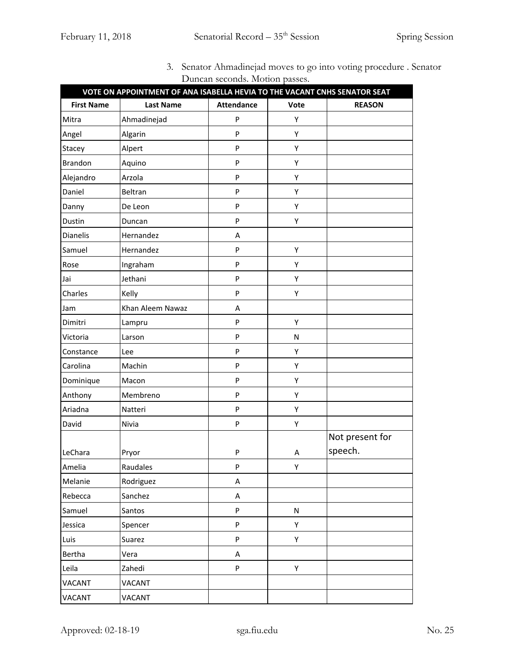|                   | VOTE ON APPOINTMENT OF ANA ISABELLA HEVIA TO THE VACANT CNHS SENATOR SEAT | $\frac{1}{2}$     |           |                 |
|-------------------|---------------------------------------------------------------------------|-------------------|-----------|-----------------|
| <b>First Name</b> | <b>Last Name</b>                                                          | <b>Attendance</b> | Vote      | <b>REASON</b>   |
| Mitra             | Ahmadinejad                                                               | P                 | Υ         |                 |
| Angel             | Algarin                                                                   | ${\sf P}$         | Υ         |                 |
| Stacey            | Alpert                                                                    | P                 | Υ         |                 |
| <b>Brandon</b>    | Aquino                                                                    | ${\sf P}$         | Υ         |                 |
| Alejandro         | Arzola                                                                    | P                 | Υ         |                 |
| Daniel            | Beltran                                                                   | ${\sf P}$         | Υ         |                 |
| Danny             | De Leon                                                                   | P                 | Υ         |                 |
| Dustin            | Duncan                                                                    | ${\sf P}$         | Υ         |                 |
| <b>Dianelis</b>   | Hernandez                                                                 | Α                 |           |                 |
| Samuel            | Hernandez                                                                 | ${\sf P}$         | Υ         |                 |
| Rose              | Ingraham                                                                  | ${\sf P}$         | Υ         |                 |
| Jai               | Jethani                                                                   | P                 | Υ         |                 |
| Charles           | Kelly                                                                     | ${\sf P}$         | Υ         |                 |
| Jam               | Khan Aleem Nawaz                                                          | Α                 |           |                 |
| Dimitri           | Lampru                                                                    | ${\sf P}$         | Υ         |                 |
| Victoria          | Larson                                                                    | ${\sf P}$         | N         |                 |
| Constance         | Lee                                                                       | ${\sf P}$         | Υ         |                 |
| Carolina          | Machin                                                                    | ${\sf P}$         | Υ         |                 |
| Dominique         | Macon                                                                     | P                 | Υ         |                 |
| Anthony           | Membreno                                                                  | ${\sf P}$         | Υ         |                 |
| Ariadna           | Natteri                                                                   | ${\sf P}$         | Υ         |                 |
| David             | Nivia                                                                     | ${\sf P}$         | Υ         |                 |
|                   |                                                                           |                   |           | Not present for |
| LeChara           | Pryor                                                                     | P                 | Α         | speech.         |
| Amelia            | Raudales                                                                  | ${\sf P}$         | Υ         |                 |
| Melanie           | Rodriguez                                                                 | A                 |           |                 |
| Rebecca           | Sanchez                                                                   | A                 |           |                 |
| Samuel            | Santos                                                                    | ${\sf P}$         | ${\sf N}$ |                 |
| Jessica           | Spencer                                                                   | ${\sf P}$         | Υ         |                 |
| Luis              | Suarez                                                                    | P                 | Υ         |                 |
| Bertha            | Vera                                                                      | A                 |           |                 |
| Leila             | Zahedi                                                                    | $\sf P$           | Υ         |                 |
| <b>VACANT</b>     | VACANT                                                                    |                   |           |                 |
| <b>VACANT</b>     | <b>VACANT</b>                                                             |                   |           |                 |

3. Senator Ahmadinejad moves to go into voting procedure . Senator Duncan seconds. Motion passes.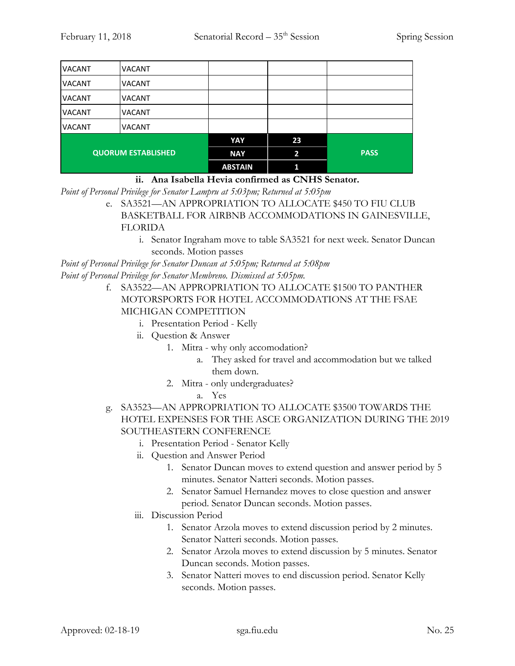| <b>VACANT</b>             | VACANT        |                |    |             |
|---------------------------|---------------|----------------|----|-------------|
| <b>VACANT</b>             | <b>VACANT</b> |                |    |             |
| <b>VACANT</b>             | <b>VACANT</b> |                |    |             |
| <b>VACANT</b>             | <b>VACANT</b> |                |    |             |
| <b>VACANT</b>             | <b>VACANT</b> |                |    |             |
|                           |               | YAY            | 23 |             |
| <b>QUORUM ESTABLISHED</b> |               | <b>NAY</b>     | 2  | <b>PASS</b> |
|                           |               | <b>ABSTAIN</b> |    |             |

**ii. Ana Isabella Hevia confirmed as CNHS Senator.**

*Point of Personal Privilege for Senator Lampru at 5:03pm; Returned at 5:05pm*

e. SA3521—AN APPROPRIATION TO ALLOCATE \$450 TO FIU CLUB BASKETBALL FOR AIRBNB ACCOMMODATIONS IN GAINESVILLE, FLORIDA

i. Senator Ingraham move to table SA3521 for next week. Senator Duncan seconds. Motion passes

*Point of Personal Privilege for Senator Duncan at 5:05pm; Returned at 5:08pm Point of Personal Privilege for Senator Membreno. Dismissed at 5:05pm.*

- f. SA3522—AN APPROPRIATION TO ALLOCATE \$1500 TO PANTHER MOTORSPORTS FOR HOTEL ACCOMMODATIONS AT THE FSAE MICHIGAN COMPETITION
	- i. Presentation Period Kelly
	- ii. Question & Answer
		- 1. Mitra why only accomodation?
			- a. They asked for travel and accommodation but we talked them down.
		- 2. Mitra only undergraduates?
			- a. Yes
- g. SA3523—AN APPROPRIATION TO ALLOCATE \$3500 TOWARDS THE HOTEL EXPENSES FOR THE ASCE ORGANIZATION DURING THE 2019 SOUTHEASTERN CONFERENCE
	- i. Presentation Period Senator Kelly
	- ii. Question and Answer Period
		- 1. Senator Duncan moves to extend question and answer period by 5 minutes. Senator Natteri seconds. Motion passes.
		- 2. Senator Samuel Hernandez moves to close question and answer period. Senator Duncan seconds. Motion passes.
	- iii. Discussion Period
		- 1. Senator Arzola moves to extend discussion period by 2 minutes. Senator Natteri seconds. Motion passes.
		- 2. Senator Arzola moves to extend discussion by 5 minutes. Senator Duncan seconds. Motion passes.
		- 3. Senator Natteri moves to end discussion period. Senator Kelly seconds. Motion passes.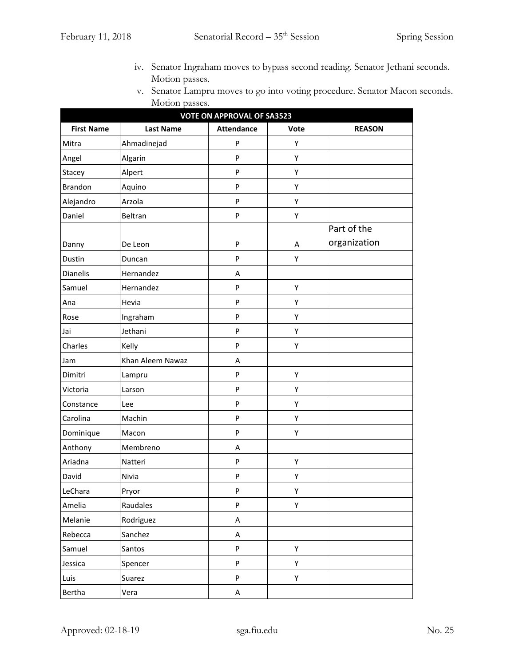- iv. Senator Ingraham moves to bypass second reading. Senator Jethani seconds. Motion passes.
- v. Senator Lampru moves to go into voting procedure. Senator Macon seconds. Motion passes.

| <b>VOTE ON APPROVAL OF SA3523</b> |                  |                   |      |               |
|-----------------------------------|------------------|-------------------|------|---------------|
| <b>First Name</b>                 | <b>Last Name</b> | <b>Attendance</b> | Vote | <b>REASON</b> |
| Mitra                             | Ahmadinejad      | P                 | Υ    |               |
| Angel                             | Algarin          | $\mathsf{P}$      | Υ    |               |
| Stacey                            | Alpert           | ${\sf P}$         | Υ    |               |
| <b>Brandon</b>                    | Aquino           | P                 | Υ    |               |
| Alejandro                         | Arzola           | ${\sf P}$         | Υ    |               |
| Daniel                            | Beltran          | ${\sf P}$         | Υ    |               |
|                                   |                  |                   |      | Part of the   |
| Danny                             | De Leon          | P                 | Α    | organization  |
| Dustin                            | Duncan           | ${\sf P}$         | Υ    |               |
| Dianelis                          | Hernandez        | Α                 |      |               |
| Samuel                            | Hernandez        | P                 | Υ    |               |
| Ana                               | Hevia            | ${\sf P}$         | Υ    |               |
| Rose                              | Ingraham         | ${\sf P}$         | Υ    |               |
| Jai                               | Jethani          | ${\sf P}$         | Υ    |               |
| Charles                           | Kelly            | P                 | Υ    |               |
| Jam                               | Khan Aleem Nawaz | Α                 |      |               |
| Dimitri                           | Lampru           | P                 | Υ    |               |
| Victoria                          | Larson           | ${\sf P}$         | Υ    |               |
| Constance                         | Lee              | P                 | Υ    |               |
| Carolina                          | Machin           | ${\sf P}$         | Υ    |               |
| Dominique                         | Macon            | ${\sf P}$         | Υ    |               |
| Anthony                           | Membreno         | Α                 |      |               |
| Ariadna                           | Natteri          | ${\sf P}$         | Υ    |               |
| David                             | Nivia            | P                 | Υ    |               |
| LeChara                           | Pryor            | P                 | Υ    |               |
| Amelia                            | Raudales         | ${\sf P}$         | Υ    |               |
| Melanie                           | Rodriguez        | A                 |      |               |
| Rebecca                           | Sanchez          | $\mathsf A$       |      |               |
| Samuel                            | Santos           | $\sf P$           | Υ    |               |
| Jessica                           | Spencer          | ${\sf P}$         | Υ    |               |
| Luis                              | Suarez           | P                 | Υ    |               |
| Bertha                            | Vera             | A                 |      |               |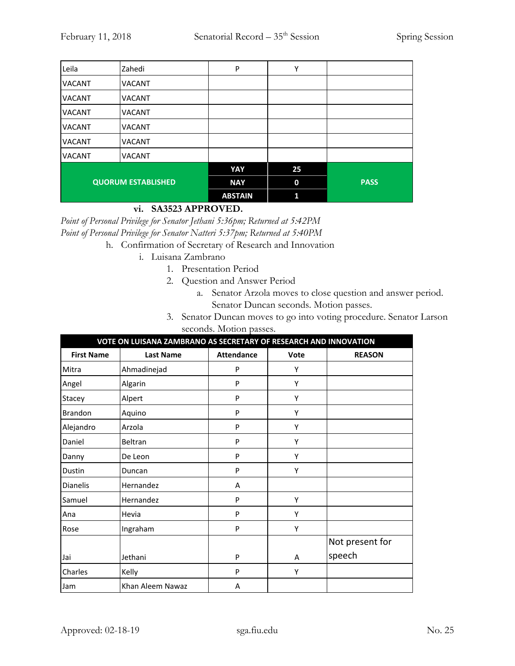| Leila                     | Zahedi        | P              | Υ           |             |
|---------------------------|---------------|----------------|-------------|-------------|
| <b>VACANT</b>             | <b>VACANT</b> |                |             |             |
| <b>VACANT</b>             | <b>VACANT</b> |                |             |             |
| <b>VACANT</b>             | <b>VACANT</b> |                |             |             |
| <b>VACANT</b>             | <b>VACANT</b> |                |             |             |
| <b>VACANT</b>             | <b>VACANT</b> |                |             |             |
| <b>VACANT</b>             | <b>VACANT</b> |                |             |             |
|                           |               | YAY            | 25          |             |
| <b>QUORUM ESTABLISHED</b> |               | <b>NAY</b>     | $\mathbf 0$ | <b>PASS</b> |
|                           |               | <b>ABSTAIN</b> | 1           |             |

## **vi. SA3523 APPROVED.**

*Point of Personal Privilege for Senator Jethani 5:36pm; Returned at 5:42PM Point of Personal Privilege for Senator Natteri 5:37pm; Returned at 5:40PM*

- h. Confirmation of Secretary of Research and Innovation
	- i. Luisana Zambrano
		- 1. Presentation Period
		- 2. Question and Answer Period
			- a. Senator Arzola moves to close question and answer period. Senator Duncan seconds. Motion passes.
		- 3. Senator Duncan moves to go into voting procedure. Senator Larson seconds. Motion passes.

| VOTE ON LUISANA ZAMBRANO AS SECRETARY OF RESEARCH AND INNOVATION |                  |                   |      |                 |
|------------------------------------------------------------------|------------------|-------------------|------|-----------------|
| <b>First Name</b>                                                | <b>Last Name</b> | <b>Attendance</b> | Vote | <b>REASON</b>   |
| Mitra                                                            | Ahmadinejad      | P                 | Υ    |                 |
| Angel                                                            | Algarin          | P                 | Υ    |                 |
| Stacey                                                           | Alpert           | P                 | Υ    |                 |
| <b>Brandon</b>                                                   | Aquino           | P                 | Υ    |                 |
| Alejandro                                                        | Arzola           | P                 | Υ    |                 |
| Daniel                                                           | Beltran          | P                 | Υ    |                 |
| Danny                                                            | De Leon          | P                 | Υ    |                 |
| Dustin                                                           | Duncan           | P                 | Υ    |                 |
| <b>Dianelis</b>                                                  | Hernandez        | A                 |      |                 |
| Samuel                                                           | Hernandez        | P                 | Υ    |                 |
| Ana                                                              | Hevia            | P                 | Υ    |                 |
| Rose                                                             | Ingraham         | P                 | Υ    |                 |
|                                                                  |                  |                   |      | Not present for |
| Jai                                                              | Jethani          | P                 | A    | speech          |
| Charles                                                          | Kelly            | P                 | Υ    |                 |
| Jam                                                              | Khan Aleem Nawaz | A                 |      |                 |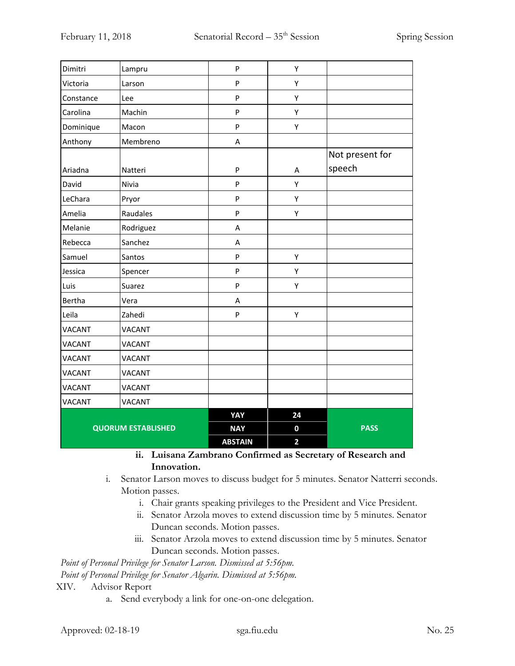| Dimitri                   | Lampru        | P              | Υ                       |                 |
|---------------------------|---------------|----------------|-------------------------|-----------------|
| Victoria                  | Larson        | P              | Υ                       |                 |
| Constance                 | Lee           | P              | Υ                       |                 |
| Carolina                  | Machin        | P              | Υ                       |                 |
| Dominique                 | Macon         | P              | Υ                       |                 |
| Anthony                   | Membreno      | A              |                         |                 |
|                           |               |                |                         | Not present for |
| Ariadna                   | Natteri       | P              | Α                       | speech          |
| David                     | Nivia         | P              | Υ                       |                 |
| LeChara                   | Pryor         | P              | Υ                       |                 |
| Amelia                    | Raudales      | P              | Υ                       |                 |
| Melanie                   | Rodriguez     | A              |                         |                 |
| Rebecca                   | Sanchez       | A              |                         |                 |
| Samuel                    | Santos        | P              | Υ                       |                 |
| Jessica                   | Spencer       | P              | Υ                       |                 |
| Luis                      | Suarez        | P              | Υ                       |                 |
| Bertha                    | Vera          | A              |                         |                 |
| Leila                     | Zahedi        | P              | Υ                       |                 |
| <b>VACANT</b>             | <b>VACANT</b> |                |                         |                 |
| <b>VACANT</b>             | <b>VACANT</b> |                |                         |                 |
| <b>VACANT</b>             | <b>VACANT</b> |                |                         |                 |
| <b>VACANT</b>             | <b>VACANT</b> |                |                         |                 |
| <b>VACANT</b>             | <b>VACANT</b> |                |                         |                 |
| <b>VACANT</b>             | <b>VACANT</b> |                |                         |                 |
|                           |               | YAY            | 24                      |                 |
| <b>QUORUM ESTABLISHED</b> |               | <b>NAY</b>     | 0                       | <b>PASS</b>     |
|                           |               | <b>ABSTAIN</b> | $\overline{\mathbf{c}}$ |                 |

**ii. Luisana Zambrano Confirmed as Secretary of Research and Innovation.**

- i. Senator Larson moves to discuss budget for 5 minutes. Senator Natterri seconds. Motion passes.
	- i. Chair grants speaking privileges to the President and Vice President.
	- ii. Senator Arzola moves to extend discussion time by 5 minutes. Senator Duncan seconds. Motion passes.
	- iii. Senator Arzola moves to extend discussion time by 5 minutes. Senator Duncan seconds. Motion passes.

*Point of Personal Privilege for Senator Larson. Dismissed at 5:56pm.*

*Point of Personal Privilege for Senator Algarin. Dismissed at 5:56pm.*

#### XIV. Advisor Report

a. Send everybody a link for one-on-one delegation.